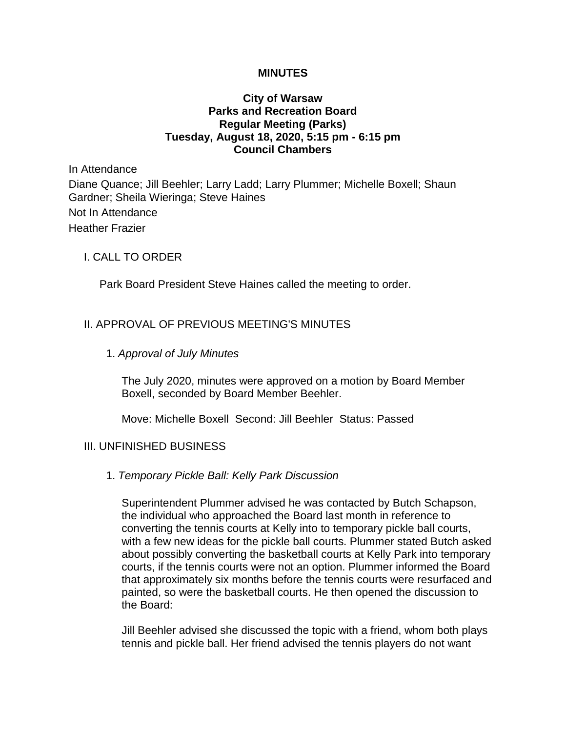## **MINUTES**

## **City of Warsaw Parks and Recreation Board Regular Meeting (Parks) Tuesday, August 18, 2020, 5:15 pm - 6:15 pm Council Chambers**

In Attendance Diane Quance; Jill Beehler; Larry Ladd; Larry Plummer; Michelle Boxell; Shaun Gardner; Sheila Wieringa; Steve Haines Not In Attendance Heather Frazier

## I. CALL TO ORDER

Park Board President Steve Haines called the meeting to order.

# II. APPROVAL OF PREVIOUS MEETING'S MINUTES

1. *Approval of July Minutes*

The July 2020, minutes were approved on a motion by Board Member Boxell, seconded by Board Member Beehler.

Move: Michelle Boxell Second: Jill Beehler Status: Passed

## III. UNFINISHED BUSINESS

1. *Temporary Pickle Ball: Kelly Park Discussion*

Superintendent Plummer advised he was contacted by Butch Schapson, the individual who approached the Board last month in reference to converting the tennis courts at Kelly into to temporary pickle ball courts, with a few new ideas for the pickle ball courts. Plummer stated Butch asked about possibly converting the basketball courts at Kelly Park into temporary courts, if the tennis courts were not an option. Plummer informed the Board that approximately six months before the tennis courts were resurfaced and painted, so were the basketball courts. He then opened the discussion to the Board:

Jill Beehler advised she discussed the topic with a friend, whom both plays tennis and pickle ball. Her friend advised the tennis players do not want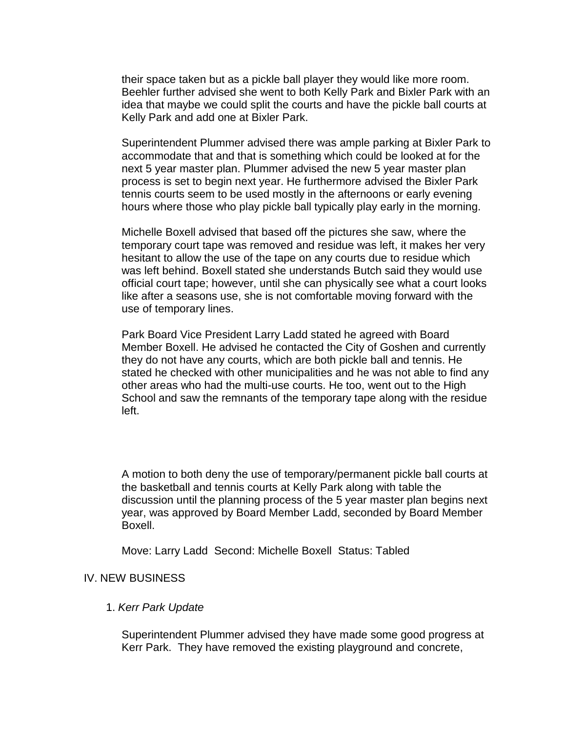their space taken but as a pickle ball player they would like more room. Beehler further advised she went to both Kelly Park and Bixler Park with an idea that maybe we could split the courts and have the pickle ball courts at Kelly Park and add one at Bixler Park.

Superintendent Plummer advised there was ample parking at Bixler Park to accommodate that and that is something which could be looked at for the next 5 year master plan. Plummer advised the new 5 year master plan process is set to begin next year. He furthermore advised the Bixler Park tennis courts seem to be used mostly in the afternoons or early evening hours where those who play pickle ball typically play early in the morning.

Michelle Boxell advised that based off the pictures she saw, where the temporary court tape was removed and residue was left, it makes her very hesitant to allow the use of the tape on any courts due to residue which was left behind. Boxell stated she understands Butch said they would use official court tape; however, until she can physically see what a court looks like after a seasons use, she is not comfortable moving forward with the use of temporary lines.

Park Board Vice President Larry Ladd stated he agreed with Board Member Boxell. He advised he contacted the City of Goshen and currently they do not have any courts, which are both pickle ball and tennis. He stated he checked with other municipalities and he was not able to find any other areas who had the multi-use courts. He too, went out to the High School and saw the remnants of the temporary tape along with the residue left.

A motion to both deny the use of temporary/permanent pickle ball courts at the basketball and tennis courts at Kelly Park along with table the discussion until the planning process of the 5 year master plan begins next year, was approved by Board Member Ladd, seconded by Board Member Boxell.

Move: Larry Ladd Second: Michelle Boxell Status: Tabled

## IV. NEW BUSINESS

#### 1. *Kerr Park Update*

Superintendent Plummer advised they have made some good progress at Kerr Park. They have removed the existing playground and concrete,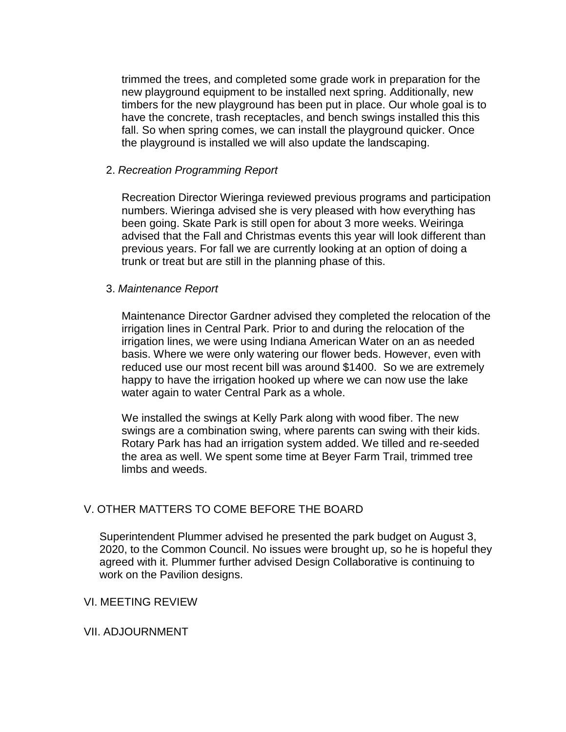trimmed the trees, and completed some grade work in preparation for the new playground equipment to be installed next spring. Additionally, new timbers for the new playground has been put in place. Our whole goal is to have the concrete, trash receptacles, and bench swings installed this this fall. So when spring comes, we can install the playground quicker. Once the playground is installed we will also update the landscaping.

## 2. *Recreation Programming Report*

Recreation Director Wieringa reviewed previous programs and participation numbers. Wieringa advised she is very pleased with how everything has been going. Skate Park is still open for about 3 more weeks. Weiringa advised that the Fall and Christmas events this year will look different than previous years. For fall we are currently looking at an option of doing a trunk or treat but are still in the planning phase of this.

## 3. *Maintenance Report*

Maintenance Director Gardner advised they completed the relocation of the irrigation lines in Central Park. Prior to and during the relocation of the irrigation lines, we were using Indiana American Water on an as needed basis. Where we were only watering our flower beds. However, even with reduced use our most recent bill was around \$1400. So we are extremely happy to have the irrigation hooked up where we can now use the lake water again to water Central Park as a whole.

We installed the swings at Kelly Park along with wood fiber. The new swings are a combination swing, where parents can swing with their kids. Rotary Park has had an irrigation system added. We tilled and re-seeded the area as well. We spent some time at Beyer Farm Trail, trimmed tree limbs and weeds.

# V. OTHER MATTERS TO COME BEFORE THE BOARD

Superintendent Plummer advised he presented the park budget on August 3, 2020, to the Common Council. No issues were brought up, so he is hopeful they agreed with it. Plummer further advised Design Collaborative is continuing to work on the Pavilion designs.

## VI. MEETING REVIEW

# VII. ADJOURNMENT